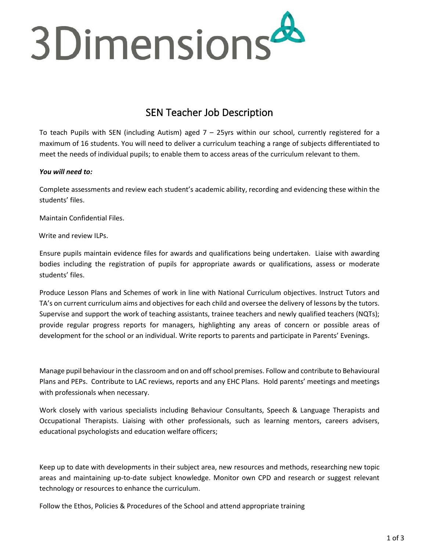

# SEN Teacher Job Description

To teach Pupils with SEN (including Autism) aged  $7 - 25$ yrs within our school, currently registered for a maximum of 16 students. You will need to deliver a curriculum teaching a range of subjects differentiated to meet the needs of individual pupils; to enable them to access areas of the curriculum relevant to them.

## *You will need to:*

Complete assessments and review each student's academic ability, recording and evidencing these within the students' files.

Maintain Confidential Files.

Write and review ILPs.

Ensure pupils maintain evidence files for awards and qualifications being undertaken. Liaise with awarding bodies including the registration of pupils for appropriate awards or qualifications, assess or moderate students' files.

Produce Lesson Plans and Schemes of work in line with National Curriculum objectives. Instruct Tutors and TA's on current curriculum aims and objectives for each child and oversee the delivery of lessons by the tutors. Supervise and support the work of teaching assistants, trainee teachers and newly qualified teachers (NQTs); provide regular progress reports for managers, highlighting any areas of concern or possible areas of development for the school or an individual. Write reports to parents and participate in Parents' Evenings.

Manage pupil behaviour in the classroom and on and offschool premises. Follow and contribute to Behavioural Plans and PEPs. Contribute to LAC reviews, reports and any EHC Plans. Hold parents' meetings and meetings with professionals when necessary.

Work closely with various specialists including Behaviour Consultants, Speech & Language Therapists and Occupational Therapists. Liaising with other professionals, such as learning mentors, careers advisers, educational psychologists and education welfare officers;

Keep up to date with developments in their subject area, new resources and methods, researching new topic areas and maintaining up-to-date subject knowledge. Monitor own CPD and research or suggest relevant technology or resources to enhance the curriculum.

Follow the Ethos, Policies & Procedures of the School and attend appropriate training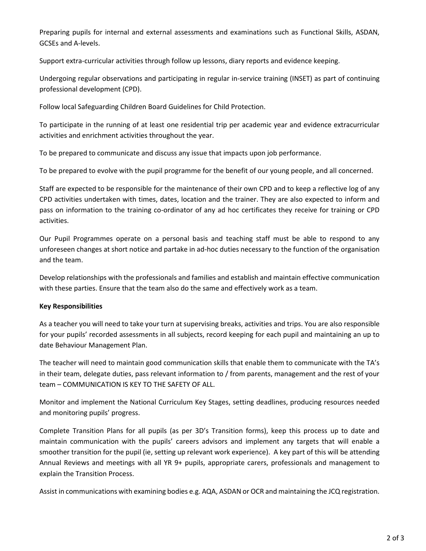Preparing pupils for internal and external assessments and examinations such as Functional Skills, ASDAN, GCSEs and A-levels.

Support extra-curricular activities through follow up lessons, diary reports and evidence keeping.

Undergoing regular observations and participating in regular in-service training (INSET) as part of continuing professional development (CPD).

Follow local Safeguarding Children Board Guidelines for Child Protection.

To participate in the running of at least one residential trip per academic year and evidence extracurricular activities and enrichment activities throughout the year.

To be prepared to communicate and discuss any issue that impacts upon job performance.

To be prepared to evolve with the pupil programme for the benefit of our young people, and all concerned.

Staff are expected to be responsible for the maintenance of their own CPD and to keep a reflective log of any CPD activities undertaken with times, dates, location and the trainer. They are also expected to inform and pass on information to the training co-ordinator of any ad hoc certificates they receive for training or CPD activities.

Our Pupil Programmes operate on a personal basis and teaching staff must be able to respond to any unforeseen changes at short notice and partake in ad-hoc duties necessary to the function of the organisation and the team.

Develop relationships with the professionals and families and establish and maintain effective communication with these parties. Ensure that the team also do the same and effectively work as a team.

#### **Key Responsibilities**

As a teacher you will need to take your turn at supervising breaks, activities and trips. You are also responsible for your pupils' recorded assessments in all subjects, record keeping for each pupil and maintaining an up to date Behaviour Management Plan.

The teacher will need to maintain good communication skills that enable them to communicate with the TA's in their team, delegate duties, pass relevant information to / from parents, management and the rest of your team – COMMUNICATION IS KEY TO THE SAFETY OF ALL.

Monitor and implement the National Curriculum Key Stages, setting deadlines, producing resources needed and monitoring pupils' progress.

Complete Transition Plans for all pupils (as per 3D's Transition forms), keep this process up to date and maintain communication with the pupils' careers advisors and implement any targets that will enable a smoother transition for the pupil (ie, setting up relevant work experience). A key part of this will be attending Annual Reviews and meetings with all YR 9+ pupils, appropriate carers, professionals and management to explain the Transition Process.

Assist in communications with examining bodies e.g. AQA, ASDAN or OCR and maintaining the JCQ registration.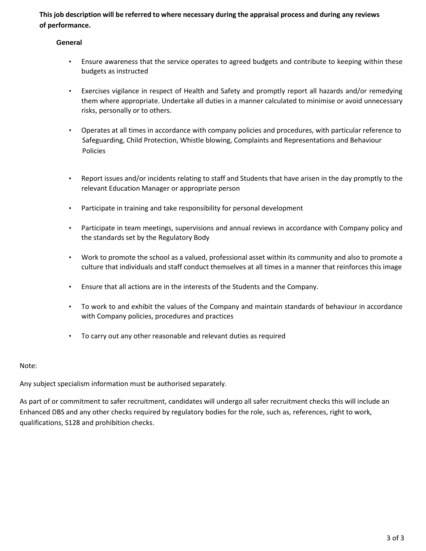**This job description will be referred to where necessary during the appraisal process and during any reviews of performance.** 

## **General**

- Ensure awareness that the service operates to agreed budgets and contribute to keeping within these budgets as instructed
- Exercises vigilance in respect of Health and Safety and promptly report all hazards and/or remedying them where appropriate. Undertake all duties in a manner calculated to minimise or avoid unnecessary risks, personally or to others.
- Operates at all times in accordance with company policies and procedures, with particular reference to Safeguarding, Child Protection, Whistle blowing, Complaints and Representations and Behaviour Policies
- Report issues and/or incidents relating to staff and Students that have arisen in the day promptly to the relevant Education Manager or appropriate person
- Participate in training and take responsibility for personal development
- Participate in team meetings, supervisions and annual reviews in accordance with Company policy and the standards set by the Regulatory Body
- Work to promote the school as a valued, professional asset within its community and also to promote a culture that individuals and staff conduct themselves at all times in a manner that reinforces this image
- Ensure that all actions are in the interests of the Students and the Company.
- To work to and exhibit the values of the Company and maintain standards of behaviour in accordance with Company policies, procedures and practices
- To carry out any other reasonable and relevant duties as required

#### Note:

Any subject specialism information must be authorised separately.

As part of or commitment to safer recruitment, candidates will undergo all safer recruitment checks this will include an Enhanced DBS and any other checks required by regulatory bodies for the role, such as, references, right to work, qualifications, S128 and prohibition checks.